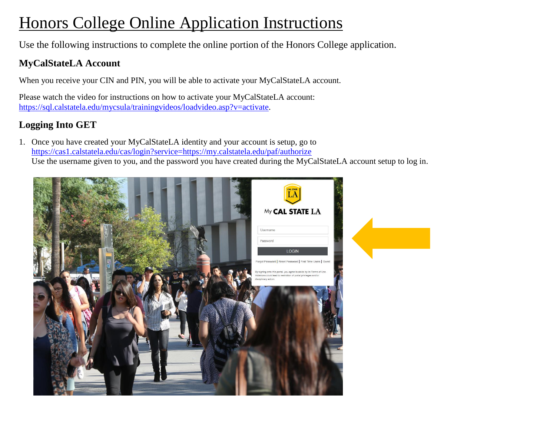# Honors College Online Application Instructions

Use the following instructions to complete the online portion of the Honors College application.

## **MyCalStateLA Account**

When you receive your CIN and PIN, you will be able to activate your MyCalStateLA account.

Please watch the video for instructions on how to activate your MyCalStateLA account: [https://sql.calstatela.edu/mycsula/trainingvideos/loadvideo.asp?v=activate.](https://sql.calstatela.edu/mycsula/trainingvideos/loadvideo.asp?v=activate)

## **Logging Into GET**

1. Once you have created your MyCalStateLA identity and your account is setup, go to <https://cas1.calstatela.edu/cas/login?service=https://my.calstatela.edu/paf/authorize> Use the username given to you, and the password you have created during the MyCalStateLA account setup to log in.

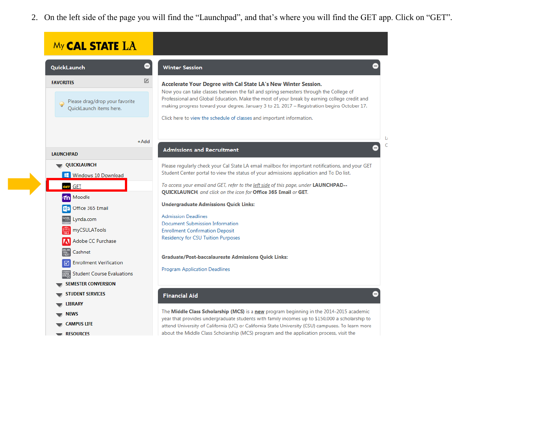2. On the left side of the page you will find the "Launchpad", and that's where you will find the GET app. Click on "GET".

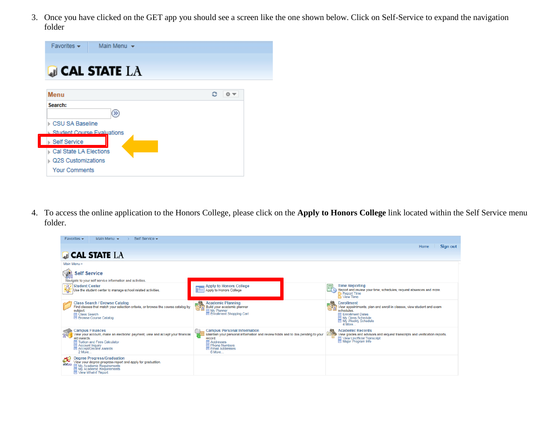3. Once you have clicked on the GET app you should see a screen like the one shown below. Click on Self-Service to expand the navigation folder

| Favorites $\star$<br>Main Menu $\star$       |         |
|----------------------------------------------|---------|
| $\Box$ cal state $LA$                        |         |
| Menu                                         | ٥<br>◎▼ |
| Search:<br>$(\gg)$                           |         |
| CSU SA Baseline                              |         |
| <b>Student Course Evaluations</b>            |         |
| <b>Self Service</b>                          |         |
| Cal State LA Elections<br>Q2S Customizations |         |
| <b>Your Comments</b>                         |         |

4. To access the online application to the Honors College, please click on the **Apply to Honors College** link located within the Self Service menu folder.

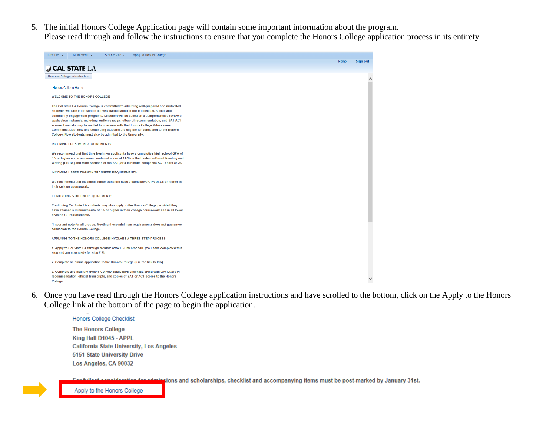5. The initial Honors College Application page will contain some important information about the program.

Please read through and follow the instructions to ensure that you complete the Honors College application process in its entirety.

| Favorites $\sim$<br>Main Menu $\star$<br>$\angle$ Self Service $\star$ $\rightarrow$ Apply to Honors College                                                                                                                                                                                                                                                                                                                                                                                                                                                                                                    |                  |
|-----------------------------------------------------------------------------------------------------------------------------------------------------------------------------------------------------------------------------------------------------------------------------------------------------------------------------------------------------------------------------------------------------------------------------------------------------------------------------------------------------------------------------------------------------------------------------------------------------------------|------------------|
|                                                                                                                                                                                                                                                                                                                                                                                                                                                                                                                                                                                                                 | Home<br>Sign out |
| $\Box$ CAL STATE $LA$                                                                                                                                                                                                                                                                                                                                                                                                                                                                                                                                                                                           |                  |
| <b>Honors College Introduction</b>                                                                                                                                                                                                                                                                                                                                                                                                                                                                                                                                                                              |                  |
|                                                                                                                                                                                                                                                                                                                                                                                                                                                                                                                                                                                                                 |                  |
| <b>Honors College Home</b>                                                                                                                                                                                                                                                                                                                                                                                                                                                                                                                                                                                      |                  |
| <b>WELCOME TO THE HONORS COLLEGE</b>                                                                                                                                                                                                                                                                                                                                                                                                                                                                                                                                                                            |                  |
| The Cal State LA Honors College is committed to admitting well-prepared and motivated<br>students who are interested in actively participating in our intellectual, social, and<br>community engagement programs. Selection will be based on a comprehensive review of<br>application materials, including written essays, letters of recommendation, and SAT/ACT<br>scores. Finalists may be invited to interview with the Honors College Admissions<br>Committee. Both new and continuing students are eligible for admission to the Honors<br>College. New students must also be admitted to the University. |                  |
| <b>INCOMING FRESHMEN REQUIREMENTS</b>                                                                                                                                                                                                                                                                                                                                                                                                                                                                                                                                                                           |                  |
| We recommend that first-time freshmen applicants have a cumulative high school GPA of<br>3.5 or higher and a minimum combined score of 1170 on the Evidence-Based Reading and<br>Writing (EBRW) and Math sections of the SAT, or a minimum composite ACT score of 26.                                                                                                                                                                                                                                                                                                                                           |                  |
| <b>INCOMING UPPER-DIVISION TRANSFER REQUIREMENTS</b>                                                                                                                                                                                                                                                                                                                                                                                                                                                                                                                                                            |                  |
| We recommend that incoming Junior transfers have a cumulative GPA of 3.5 or higher in<br>their college coursework.                                                                                                                                                                                                                                                                                                                                                                                                                                                                                              |                  |
| <b>CONTINUING STUDENT REQUIREMENTS</b>                                                                                                                                                                                                                                                                                                                                                                                                                                                                                                                                                                          |                  |
| Continuing Cal State LA students may also apply to the Honors College provided they<br>have attained a minimum GPA of 3.5 or higher in their college coursework and in all lower<br>division GE requirements.                                                                                                                                                                                                                                                                                                                                                                                                   |                  |
| *Important note for all groups: Meeting these minimum requirements does not guarantee<br>admission to the Honors College.                                                                                                                                                                                                                                                                                                                                                                                                                                                                                       |                  |
| APPLYING TO THE HONORS COLLEGE INVOLVES A THREE-STEP PROCESS:                                                                                                                                                                                                                                                                                                                                                                                                                                                                                                                                                   |                  |
| 1. Apply to Cal State LA through Mentor: www.CSUMentor.edu. (You have completed this<br>step and are now ready for step #2).                                                                                                                                                                                                                                                                                                                                                                                                                                                                                    |                  |
| 2. Complete an online application to the Honors College (use the link below).                                                                                                                                                                                                                                                                                                                                                                                                                                                                                                                                   |                  |
| 3. Complete and mail the Honors College application checklist, along with two letters of<br>recommendation, official transcripts, and copies of SAT or ACT scores to the Honors<br>College.                                                                                                                                                                                                                                                                                                                                                                                                                     |                  |

6. Once you have read through the Honors College application instructions and have scrolled to the bottom, click on the Apply to the Honors College link at the bottom of the page to begin the application.

**Honors College Checklist The Honors College** King Hall D1045 - APPL **California State University, Los Angeles** 5151 State University Drive Los Angeles, CA 90032

ions and scholarships, checklist and accompanying items must be post-marked by January 31st.

Apply to the Honors College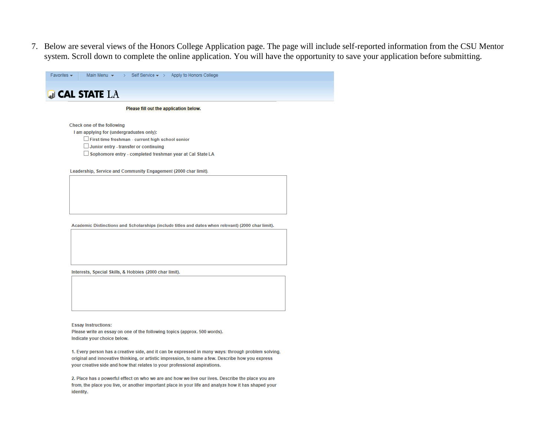7. Below are several views of the Honors College Application page. The page will include self-reported information from the CSU Mentor system. Scroll down to complete the online application. You will have the opportunity to save your application before submitting.



#### **GI CAL STATE LA**

#### Please fill out the application below.

Check one of the following

I am applying for (undergraduates only):

First-time freshman - current high school senior

Junior entry - transfer or continuing

□ Sophomore entry - completed freshman year at Cal State LA

Leadership, Service and Community Engagement (2000 char limit).

Academic Distinctions and Scholarships (include titles and dates when relevant) (2000 char limit).

Interests, Special Skills, & Hobbies (2000 char limit).

**Essay Instructions:** Please write an essay on one of the following topics (approx. 500 words). Indicate your choice below.

1. Every person has a creative side, and it can be expressed in many ways: through problem solving, original and innovative thinking, or artistic impression, to name a few. Describe how you express your creative side and how that relates to your professional aspirations.

2. Place has a powerful effect on who we are and how we live our lives. Describe the place you are from, the place you live, or another important place in your life and analyze how it has shaped your identity.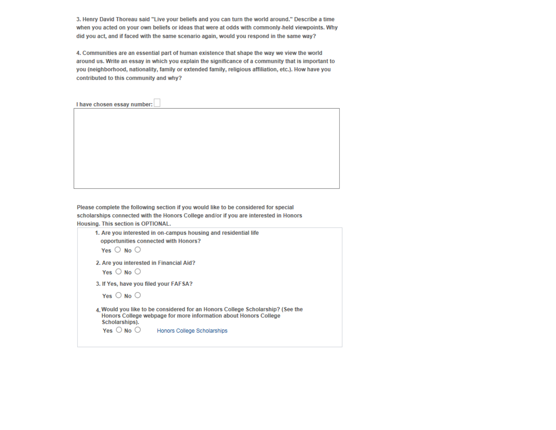3. Henry David Thoreau said "Live your beliefs and you can turn the world around." Describe a time when you acted on your own beliefs or ideas that were at odds with commonly-held viewpoints. Why did you act, and if faced with the same scenario again, would you respond in the same way?

4. Communities are an essential part of human existence that shape the way we view the world around us. Write an essay in which you explain the significance of a community that is important to you (neighborhood, nationality, family or extended family, religious affiliation, etc.). How have you contributed to this community and why?

I have chosen essay number:

Please complete the following section if you would like to be considered for special scholarships connected with the Honors College and/or if you are interested in Honors Housing. This section is OPTIONAL.

```
1. Are you interested in on-campus housing and residential life
opportunities connected with Honors?
Yes \bigcirc No \bigcirc2. Are you interested in Financial Aid?
Yes \bigcirc No \bigcirc3. If Yes, have you filed your FAFSA?
Yes \bigcirc No \bigcirc4. Would you like to be considered for an Honors College Scholarship? (See the
Honors College webpage for more information about Honors College
Scholarships).
 Yes \bigcirc No \bigcircHonors College Scholarships
```